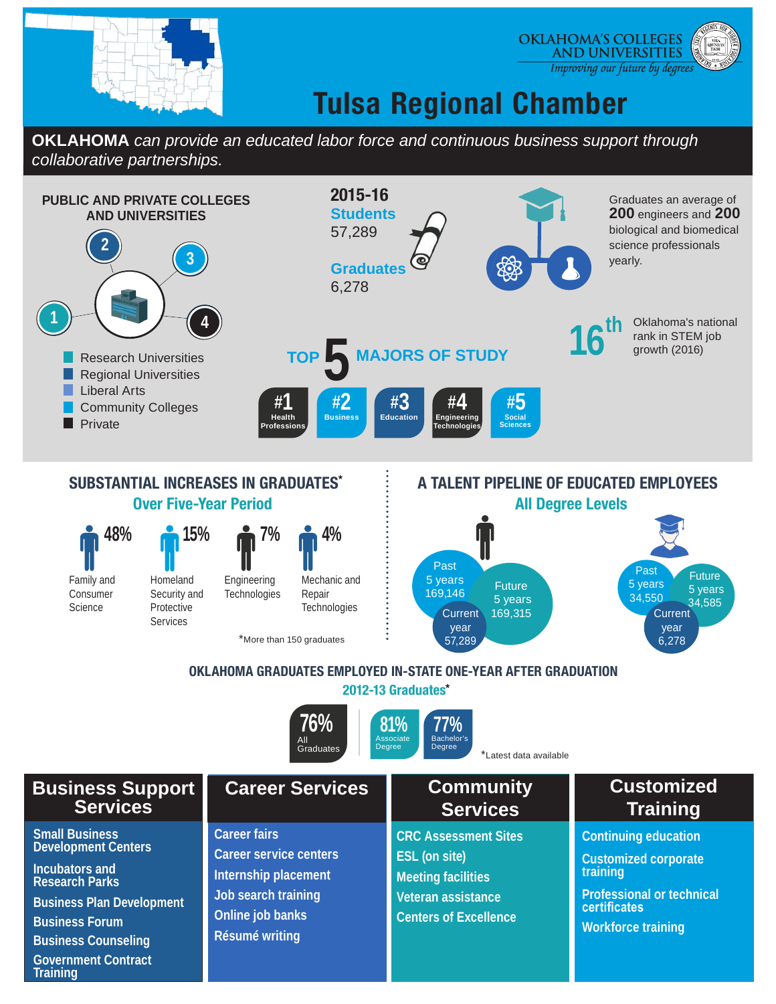

#### **OKLAHOMA'S COLLEGES AND UNIVERSITIES** Improving our future by degrees

# **Tulsa Regional Chamber**

**OKLAHOMA** *can provide an educated labor force and continuous business support through collaborative partnerships.*



**Business Counseling Government Contract** 

**Training**